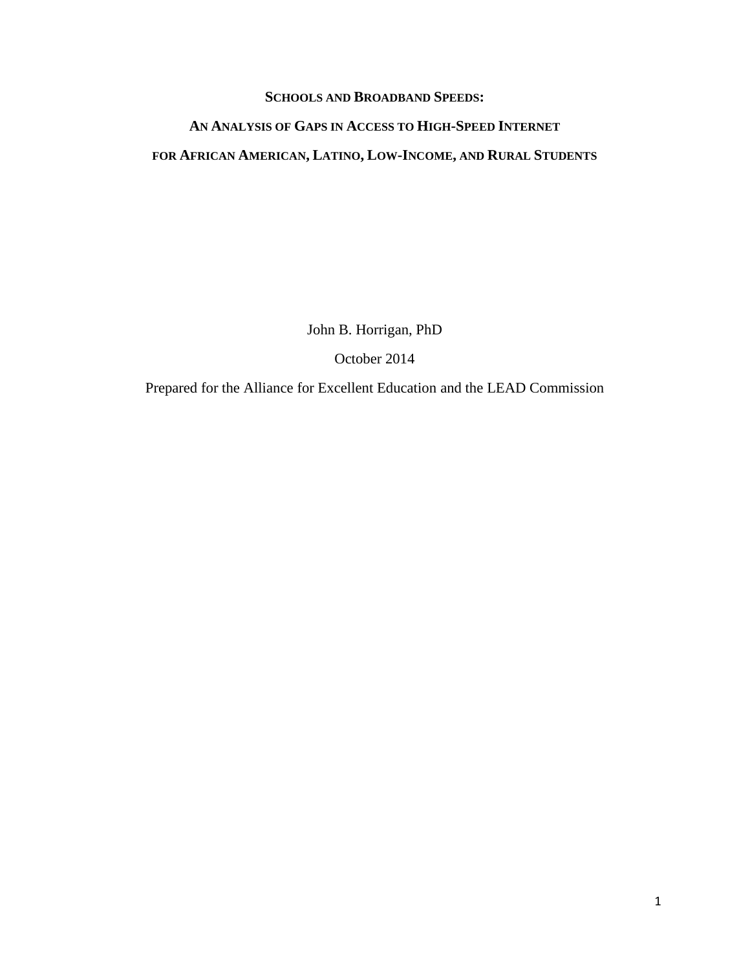#### **SCHOOLS AND BROADBAND SPEEDS:**

# **AN ANALYSIS OF GAPS IN ACCESS TO HIGH-SPEED INTERNET FOR AFRICAN AMERICAN, LATINO, LOW-INCOME, AND RURAL STUDENTS**

John B. Horrigan, PhD

October 2014

Prepared for the Alliance for Excellent Education and the LEAD Commission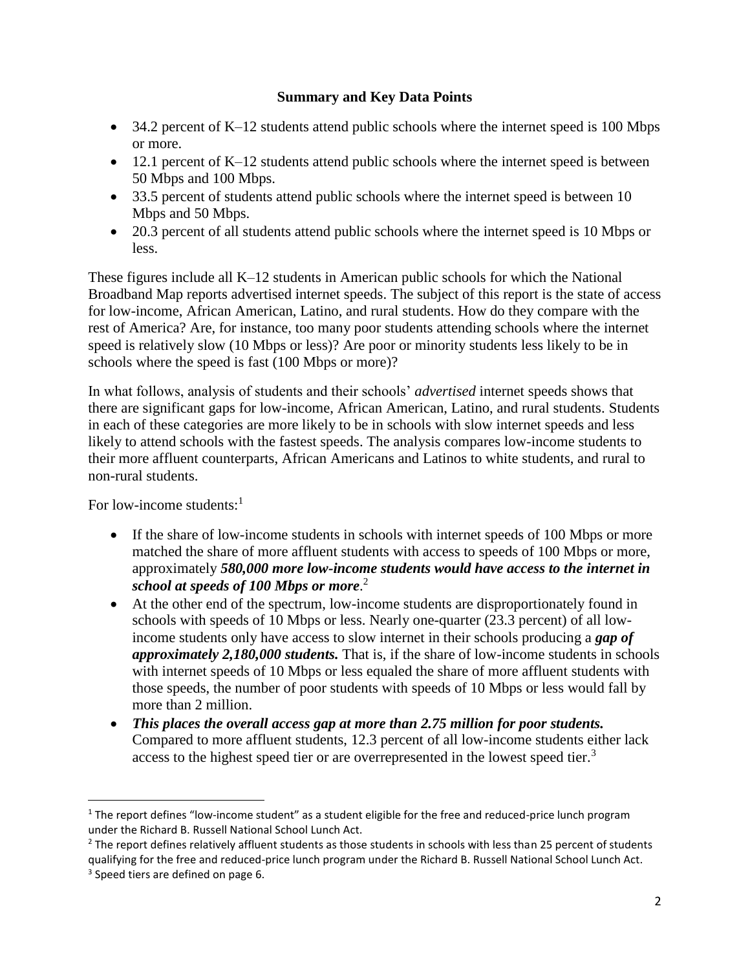### **Summary and Key Data Points**

- $\bullet$  34.2 percent of K–12 students attend public schools where the internet speed is 100 Mbps or more.
- $\bullet$  12.1 percent of K–12 students attend public schools where the internet speed is between 50 Mbps and 100 Mbps.
- 33.5 percent of students attend public schools where the internet speed is between 10 Mbps and 50 Mbps.
- 20.3 percent of all students attend public schools where the internet speed is 10 Mbps or less.

These figures include all K–12 students in American public schools for which the National Broadband Map reports advertised internet speeds. The subject of this report is the state of access for low-income, African American, Latino, and rural students. How do they compare with the rest of America? Are, for instance, too many poor students attending schools where the internet speed is relatively slow (10 Mbps or less)? Are poor or minority students less likely to be in schools where the speed is fast (100 Mbps or more)?

In what follows, analysis of students and their schools' *advertised* internet speeds shows that there are significant gaps for low-income, African American, Latino, and rural students. Students in each of these categories are more likely to be in schools with slow internet speeds and less likely to attend schools with the fastest speeds. The analysis compares low-income students to their more affluent counterparts, African Americans and Latinos to white students, and rural to non-rural students.

For low-income students:<sup>1</sup>

l

- If the share of low-income students in schools with internet speeds of 100 Mbps or more matched the share of more affluent students with access to speeds of 100 Mbps or more, approximately *580,000 more low-income students would have access to the internet in school at speeds of 100 Mbps or more*. 2
- At the other end of the spectrum, low-income students are disproportionately found in schools with speeds of 10 Mbps or less. Nearly one-quarter (23.3 percent) of all lowincome students only have access to slow internet in their schools producing a *gap of approximately 2,180,000 students.* That is, if the share of low-income students in schools with internet speeds of 10 Mbps or less equaled the share of more affluent students with those speeds, the number of poor students with speeds of 10 Mbps or less would fall by more than 2 million.
- *This places the overall access gap at more than 2.75 million for poor students.* Compared to more affluent students, 12.3 percent of all low-income students either lack access to the highest speed tier or are overrepresented in the lowest speed tier.<sup>3</sup>

 $1$  The report defines "low-income student" as a student eligible for the free and reduced-price lunch program under the Richard B. Russell National School Lunch Act.

 $2$  The report defines relatively affluent students as those students in schools with less than 25 percent of students qualifying for the free and reduced-price lunch program under the Richard B. Russell National School Lunch Act. <sup>3</sup> Speed tiers are defined on page 6.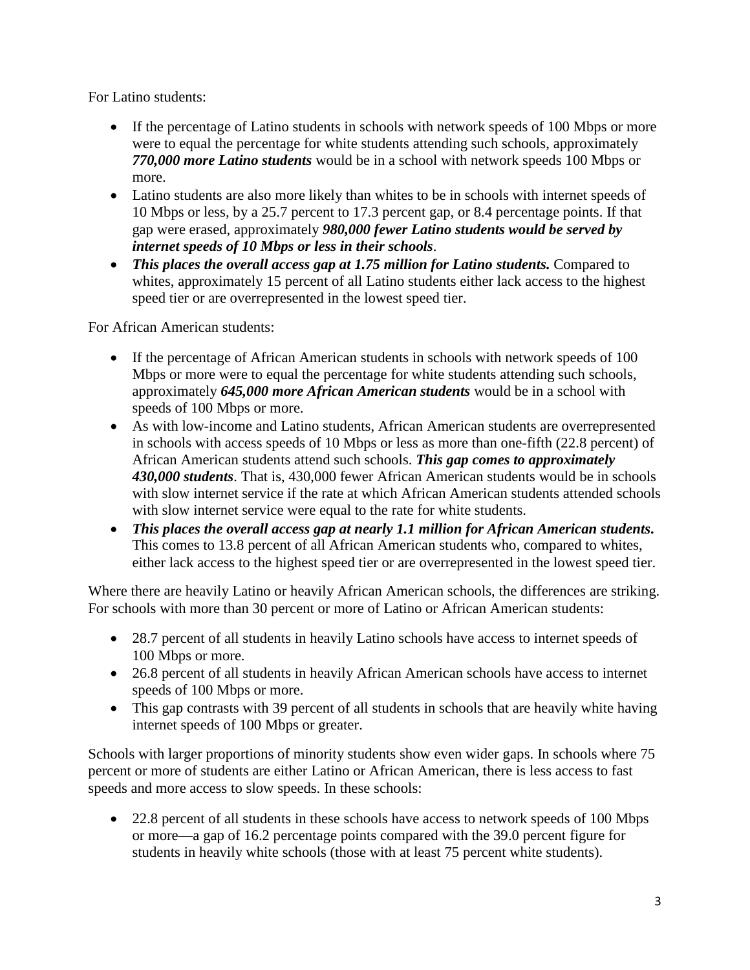For Latino students:

- If the percentage of Latino students in schools with network speeds of 100 Mbps or more were to equal the percentage for white students attending such schools, approximately *770,000 more Latino students* would be in a school with network speeds 100 Mbps or more.
- Latino students are also more likely than whites to be in schools with internet speeds of 10 Mbps or less, by a 25.7 percent to 17.3 percent gap, or 8.4 percentage points. If that gap were erased, approximately *980,000 fewer Latino students would be served by internet speeds of 10 Mbps or less in their schools*.
- *This places the overall access gap at 1.75 million for Latino students.* Compared to whites, approximately 15 percent of all Latino students either lack access to the highest speed tier or are overrepresented in the lowest speed tier.

For African American students:

- If the percentage of African American students in schools with network speeds of 100 Mbps or more were to equal the percentage for white students attending such schools, approximately *645,000 more African American students* would be in a school with speeds of 100 Mbps or more.
- As with low-income and Latino students, African American students are overrepresented in schools with access speeds of 10 Mbps or less as more than one-fifth (22.8 percent) of African American students attend such schools. *This gap comes to approximately 430,000 students*. That is, 430,000 fewer African American students would be in schools with slow internet service if the rate at which African American students attended schools with slow internet service were equal to the rate for white students.
- *This places the overall access gap at nearly 1.1 million for African American students.*  This comes to 13.8 percent of all African American students who, compared to whites, either lack access to the highest speed tier or are overrepresented in the lowest speed tier.

Where there are heavily Latino or heavily African American schools, the differences are striking. For schools with more than 30 percent or more of Latino or African American students:

- 28.7 percent of all students in heavily Latino schools have access to internet speeds of 100 Mbps or more.
- 26.8 percent of all students in heavily African American schools have access to internet speeds of 100 Mbps or more.
- This gap contrasts with 39 percent of all students in schools that are heavily white having internet speeds of 100 Mbps or greater.

Schools with larger proportions of minority students show even wider gaps. In schools where 75 percent or more of students are either Latino or African American, there is less access to fast speeds and more access to slow speeds. In these schools:

• 22.8 percent of all students in these schools have access to network speeds of 100 Mbps or more—a gap of 16.2 percentage points compared with the 39.0 percent figure for students in heavily white schools (those with at least 75 percent white students).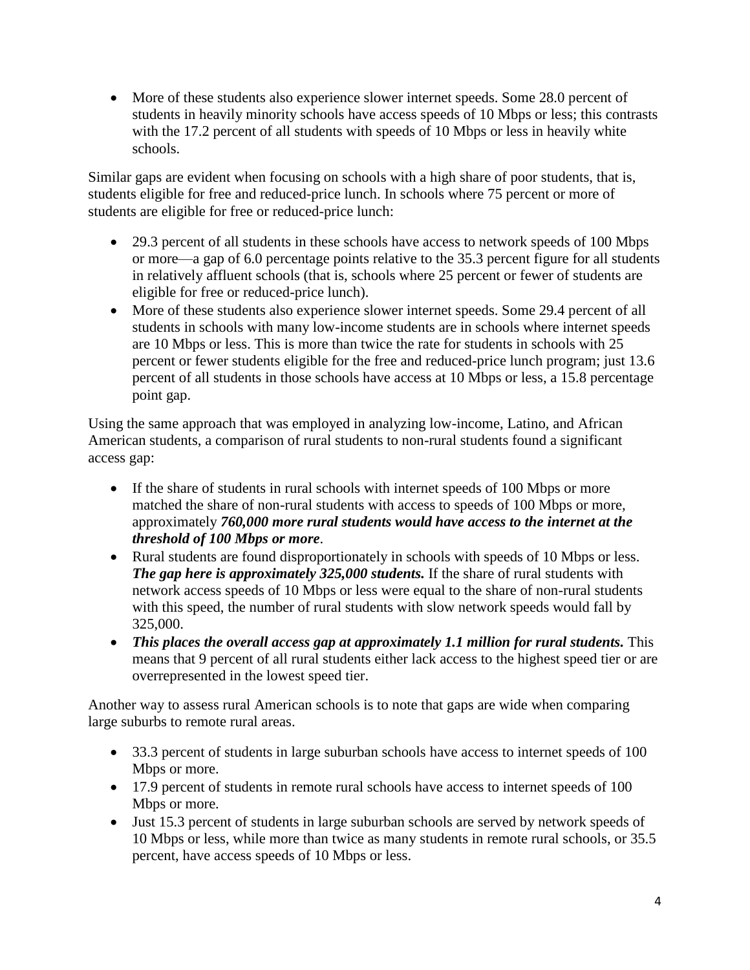More of these students also experience slower internet speeds. Some 28.0 percent of students in heavily minority schools have access speeds of 10 Mbps or less; this contrasts with the 17.2 percent of all students with speeds of 10 Mbps or less in heavily white schools.

Similar gaps are evident when focusing on schools with a high share of poor students, that is, students eligible for free and reduced-price lunch. In schools where 75 percent or more of students are eligible for free or reduced-price lunch:

- 29.3 percent of all students in these schools have access to network speeds of 100 Mbps or more—a gap of 6.0 percentage points relative to the 35.3 percent figure for all students in relatively affluent schools (that is, schools where 25 percent or fewer of students are eligible for free or reduced-price lunch).
- More of these students also experience slower internet speeds. Some 29.4 percent of all students in schools with many low-income students are in schools where internet speeds are 10 Mbps or less. This is more than twice the rate for students in schools with 25 percent or fewer students eligible for the free and reduced-price lunch program; just 13.6 percent of all students in those schools have access at 10 Mbps or less, a 15.8 percentage point gap.

Using the same approach that was employed in analyzing low-income, Latino, and African American students, a comparison of rural students to non-rural students found a significant access gap:

- If the share of students in rural schools with internet speeds of 100 Mbps or more matched the share of non-rural students with access to speeds of 100 Mbps or more, approximately *760,000 more rural students would have access to the internet at the threshold of 100 Mbps or more*.
- Rural students are found disproportionately in schools with speeds of 10 Mbps or less. *The gap here is approximately 325,000 students.* If the share of rural students with network access speeds of 10 Mbps or less were equal to the share of non-rural students with this speed, the number of rural students with slow network speeds would fall by 325,000.
- *This places the overall access gap at approximately 1.1 million for rural students.* This means that 9 percent of all rural students either lack access to the highest speed tier or are overrepresented in the lowest speed tier.

Another way to assess rural American schools is to note that gaps are wide when comparing large suburbs to remote rural areas.

- 33.3 percent of students in large suburban schools have access to internet speeds of 100 Mbps or more.
- 17.9 percent of students in remote rural schools have access to internet speeds of 100 Mbps or more.
- Just 15.3 percent of students in large suburban schools are served by network speeds of 10 Mbps or less, while more than twice as many students in remote rural schools, or 35.5 percent, have access speeds of 10 Mbps or less.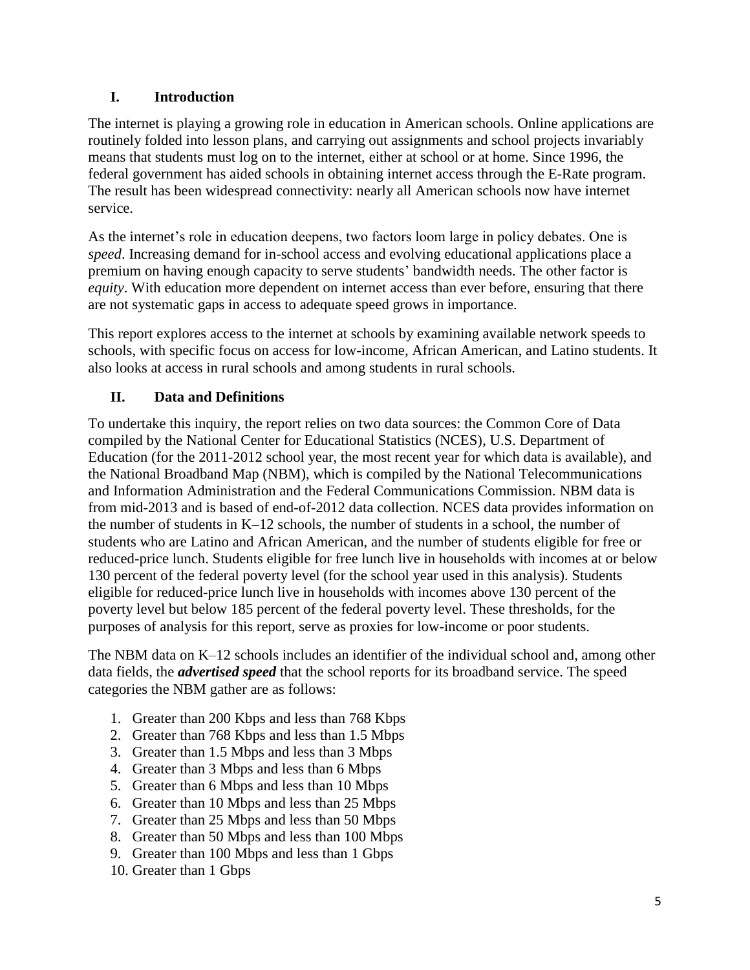# **I. Introduction**

The internet is playing a growing role in education in American schools. Online applications are routinely folded into lesson plans, and carrying out assignments and school projects invariably means that students must log on to the internet, either at school or at home. Since 1996, the federal government has aided schools in obtaining internet access through the E-Rate program. The result has been widespread connectivity: nearly all American schools now have internet service.

As the internet's role in education deepens, two factors loom large in policy debates. One is *speed*. Increasing demand for in-school access and evolving educational applications place a premium on having enough capacity to serve students' bandwidth needs. The other factor is *equity*. With education more dependent on internet access than ever before, ensuring that there are not systematic gaps in access to adequate speed grows in importance.

This report explores access to the internet at schools by examining available network speeds to schools, with specific focus on access for low-income, African American, and Latino students. It also looks at access in rural schools and among students in rural schools.

# **II. Data and Definitions**

To undertake this inquiry, the report relies on two data sources: the Common Core of Data compiled by the National Center for Educational Statistics (NCES), U.S. Department of Education (for the 2011-2012 school year, the most recent year for which data is available), and the National Broadband Map (NBM), which is compiled by the National Telecommunications and Information Administration and the Federal Communications Commission. NBM data is from mid-2013 and is based of end-of-2012 data collection. NCES data provides information on the number of students in K–12 schools, the number of students in a school, the number of students who are Latino and African American, and the number of students eligible for free or reduced-price lunch. Students eligible for free lunch live in households with incomes at or below 130 percent of the federal poverty level (for the school year used in this analysis). Students eligible for reduced-price lunch live in households with incomes above 130 percent of the poverty level but below 185 percent of the federal poverty level. These thresholds, for the purposes of analysis for this report, serve as proxies for low-income or poor students.

The NBM data on K–12 schools includes an identifier of the individual school and, among other data fields, the *advertised speed* that the school reports for its broadband service. The speed categories the NBM gather are as follows:

- 1. Greater than 200 Kbps and less than 768 Kbps
- 2. Greater than 768 Kbps and less than 1.5 Mbps
- 3. Greater than 1.5 Mbps and less than 3 Mbps
- 4. Greater than 3 Mbps and less than 6 Mbps
- 5. Greater than 6 Mbps and less than 10 Mbps
- 6. Greater than 10 Mbps and less than 25 Mbps
- 7. Greater than 25 Mbps and less than 50 Mbps
- 8. Greater than 50 Mbps and less than 100 Mbps
- 9. Greater than 100 Mbps and less than 1 Gbps
- 10. Greater than 1 Gbps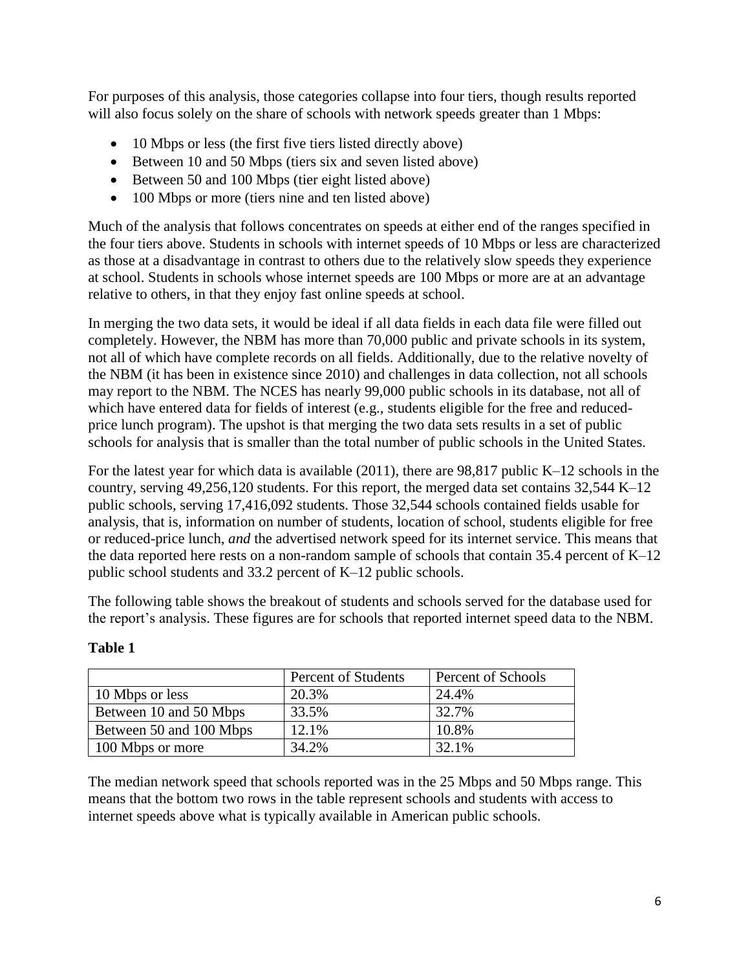For purposes of this analysis, those categories collapse into four tiers, though results reported will also focus solely on the share of schools with network speeds greater than 1 Mbps:

- 10 Mbps or less (the first five tiers listed directly above)
- Between 10 and 50 Mbps (tiers six and seven listed above)
- Between 50 and 100 Mbps (tier eight listed above)
- 100 Mbps or more (tiers nine and ten listed above)

Much of the analysis that follows concentrates on speeds at either end of the ranges specified in the four tiers above. Students in schools with internet speeds of 10 Mbps or less are characterized as those at a disadvantage in contrast to others due to the relatively slow speeds they experience at school. Students in schools whose internet speeds are 100 Mbps or more are at an advantage relative to others, in that they enjoy fast online speeds at school.

In merging the two data sets, it would be ideal if all data fields in each data file were filled out completely. However, the NBM has more than 70,000 public and private schools in its system, not all of which have complete records on all fields. Additionally, due to the relative novelty of the NBM (it has been in existence since 2010) and challenges in data collection, not all schools may report to the NBM. The NCES has nearly 99,000 public schools in its database, not all of which have entered data for fields of interest (e.g., students eligible for the free and reducedprice lunch program). The upshot is that merging the two data sets results in a set of public schools for analysis that is smaller than the total number of public schools in the United States.

For the latest year for which data is available (2011), there are 98,817 public K–12 schools in the country, serving 49,256,120 students. For this report, the merged data set contains 32,544 K–12 public schools, serving 17,416,092 students. Those 32,544 schools contained fields usable for analysis, that is, information on number of students, location of school, students eligible for free or reduced-price lunch, *and* the advertised network speed for its internet service. This means that the data reported here rests on a non-random sample of schools that contain 35.4 percent of K–12 public school students and 33.2 percent of K–12 public schools.

The following table shows the breakout of students and schools served for the database used for the report's analysis. These figures are for schools that reported internet speed data to the NBM.

|                         | Percent of Students | Percent of Schools |
|-------------------------|---------------------|--------------------|
| 10 Mbps or less         | 20.3%               | 24.4%              |
| Between 10 and 50 Mbps  | 33.5%               | 32.7%              |
| Between 50 and 100 Mbps | 12.1%               | 10.8%              |
| 100 Mbps or more        | 34.2%               | 32.1%              |

# **Table 1**

The median network speed that schools reported was in the 25 Mbps and 50 Mbps range. This means that the bottom two rows in the table represent schools and students with access to internet speeds above what is typically available in American public schools.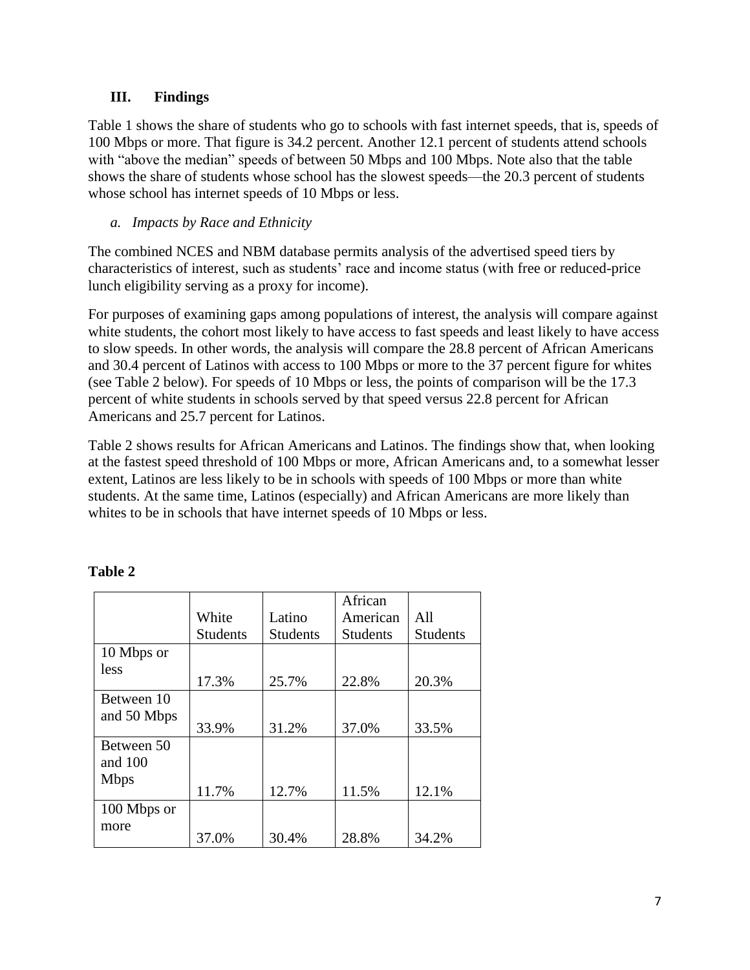# **III. Findings**

Table 1 shows the share of students who go to schools with fast internet speeds, that is, speeds of 100 Mbps or more. That figure is 34.2 percent. Another 12.1 percent of students attend schools with "above the median" speeds of between 50 Mbps and 100 Mbps. Note also that the table shows the share of students whose school has the slowest speeds—the 20.3 percent of students whose school has internet speeds of 10 Mbps or less.

## *a. Impacts by Race and Ethnicity*

The combined NCES and NBM database permits analysis of the advertised speed tiers by characteristics of interest, such as students' race and income status (with free or reduced-price lunch eligibility serving as a proxy for income).

For purposes of examining gaps among populations of interest, the analysis will compare against white students, the cohort most likely to have access to fast speeds and least likely to have access to slow speeds. In other words, the analysis will compare the 28.8 percent of African Americans and 30.4 percent of Latinos with access to 100 Mbps or more to the 37 percent figure for whites (see Table 2 below). For speeds of 10 Mbps or less, the points of comparison will be the 17.3 percent of white students in schools served by that speed versus 22.8 percent for African Americans and 25.7 percent for Latinos.

Table 2 shows results for African Americans and Latinos. The findings show that, when looking at the fastest speed threshold of 100 Mbps or more, African Americans and, to a somewhat lesser extent, Latinos are less likely to be in schools with speeds of 100 Mbps or more than white students. At the same time, Latinos (especially) and African Americans are more likely than whites to be in schools that have internet speeds of 10 Mbps or less.

|             |                 |                 | African         |                 |
|-------------|-----------------|-----------------|-----------------|-----------------|
|             | White           | Latino          | American        | All             |
|             | <b>Students</b> | <b>Students</b> | <b>Students</b> | <b>Students</b> |
| 10 Mbps or  |                 |                 |                 |                 |
| less        | 17.3%           | 25.7%           | 22.8%           | 20.3%           |
| Between 10  |                 |                 |                 |                 |
| and 50 Mbps | 33.9%           | 31.2%           | 37.0%           | 33.5%           |
| Between 50  |                 |                 |                 |                 |
| and 100     |                 |                 |                 |                 |
| <b>Mbps</b> | 11.7%           | 12.7%           | 11.5%           | 12.1%           |
| 100 Mbps or |                 |                 |                 |                 |
| more        | 37.0%           | 30.4%           | 28.8%           | 34.2%           |

## **Table 2**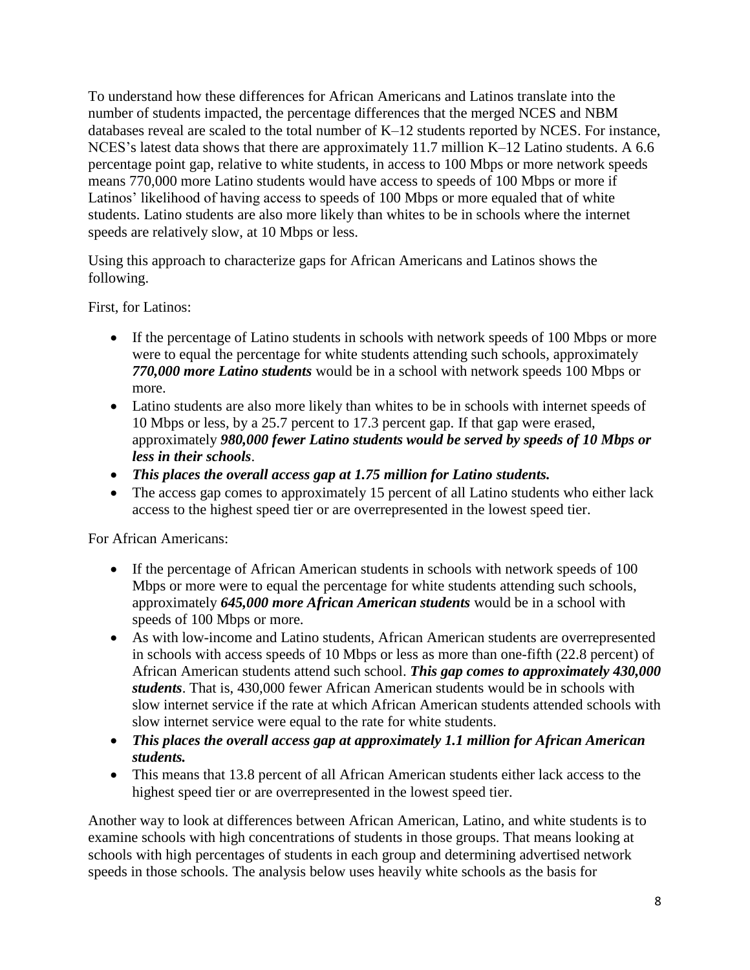To understand how these differences for African Americans and Latinos translate into the number of students impacted, the percentage differences that the merged NCES and NBM databases reveal are scaled to the total number of K–12 students reported by NCES. For instance, NCES's latest data shows that there are approximately 11.7 million K–12 Latino students. A 6.6 percentage point gap, relative to white students, in access to 100 Mbps or more network speeds means 770,000 more Latino students would have access to speeds of 100 Mbps or more if Latinos' likelihood of having access to speeds of 100 Mbps or more equaled that of white students. Latino students are also more likely than whites to be in schools where the internet speeds are relatively slow, at 10 Mbps or less.

Using this approach to characterize gaps for African Americans and Latinos shows the following.

First, for Latinos:

- If the percentage of Latino students in schools with network speeds of 100 Mbps or more were to equal the percentage for white students attending such schools, approximately *770,000 more Latino students* would be in a school with network speeds 100 Mbps or more.
- Latino students are also more likely than whites to be in schools with internet speeds of 10 Mbps or less, by a 25.7 percent to 17.3 percent gap. If that gap were erased, approximately *980,000 fewer Latino students would be served by speeds of 10 Mbps or less in their schools*.
- *This places the overall access gap at 1.75 million for Latino students.*
- The access gap comes to approximately 15 percent of all Latino students who either lack access to the highest speed tier or are overrepresented in the lowest speed tier.

For African Americans:

- If the percentage of African American students in schools with network speeds of 100 Mbps or more were to equal the percentage for white students attending such schools, approximately *645,000 more African American students* would be in a school with speeds of 100 Mbps or more.
- As with low-income and Latino students, African American students are overrepresented in schools with access speeds of 10 Mbps or less as more than one-fifth (22.8 percent) of African American students attend such school. *This gap comes to approximately 430,000 students*. That is, 430,000 fewer African American students would be in schools with slow internet service if the rate at which African American students attended schools with slow internet service were equal to the rate for white students.
- *This places the overall access gap at approximately 1.1 million for African American students.*
- This means that 13.8 percent of all African American students either lack access to the highest speed tier or are overrepresented in the lowest speed tier.

Another way to look at differences between African American, Latino, and white students is to examine schools with high concentrations of students in those groups. That means looking at schools with high percentages of students in each group and determining advertised network speeds in those schools. The analysis below uses heavily white schools as the basis for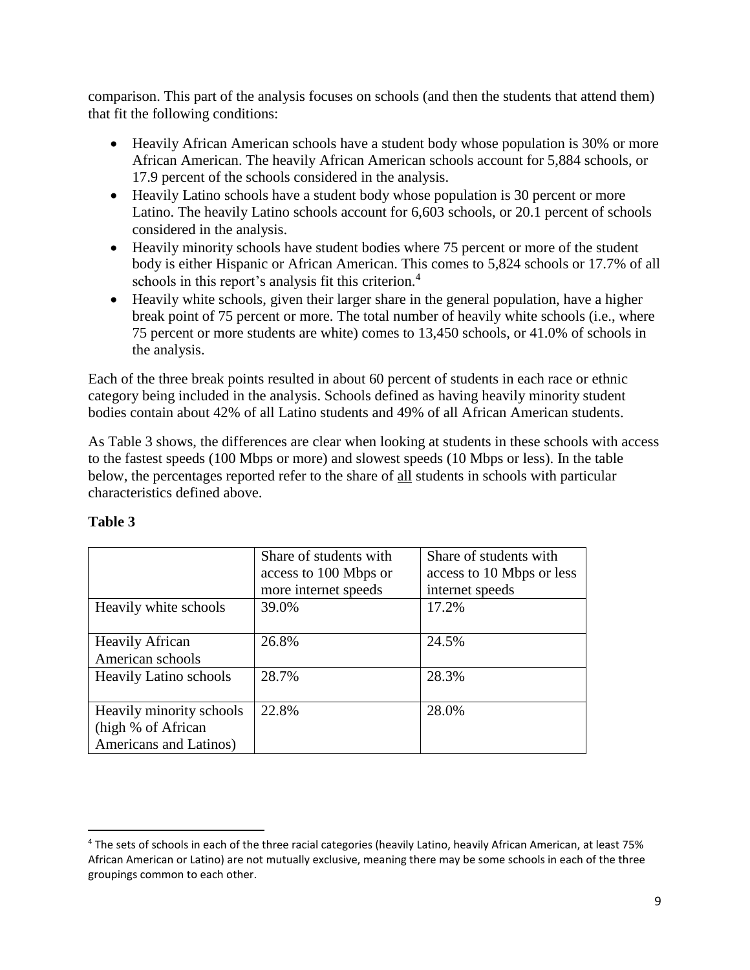comparison. This part of the analysis focuses on schools (and then the students that attend them) that fit the following conditions:

- Heavily African American schools have a student body whose population is 30% or more African American. The heavily African American schools account for 5,884 schools, or 17.9 percent of the schools considered in the analysis.
- Heavily Latino schools have a student body whose population is 30 percent or more Latino. The heavily Latino schools account for 6,603 schools, or 20.1 percent of schools considered in the analysis.
- Heavily minority schools have student bodies where 75 percent or more of the student body is either Hispanic or African American. This comes to 5,824 schools or 17.7% of all schools in this report's analysis fit this criterion.<sup>4</sup>
- Heavily white schools, given their larger share in the general population, have a higher break point of 75 percent or more. The total number of heavily white schools (i.e., where 75 percent or more students are white) comes to 13,450 schools, or 41.0% of schools in the analysis.

Each of the three break points resulted in about 60 percent of students in each race or ethnic category being included in the analysis. Schools defined as having heavily minority student bodies contain about 42% of all Latino students and 49% of all African American students.

As Table 3 shows, the differences are clear when looking at students in these schools with access to the fastest speeds (100 Mbps or more) and slowest speeds (10 Mbps or less). In the table below, the percentages reported refer to the share of all students in schools with particular characteristics defined above.

|                               | Share of students with | Share of students with    |
|-------------------------------|------------------------|---------------------------|
|                               | access to 100 Mbps or  | access to 10 Mbps or less |
|                               | more internet speeds   | internet speeds           |
| Heavily white schools         | 39.0%                  | 17.2%                     |
|                               |                        |                           |
| <b>Heavily African</b>        | 26.8%                  | 24.5%                     |
| American schools              |                        |                           |
| <b>Heavily Latino schools</b> | 28.7%                  | 28.3%                     |
|                               |                        |                           |
| Heavily minority schools      | 22.8%                  | 28.0%                     |
| (high % of African            |                        |                           |
| Americans and Latinos)        |                        |                           |

# **Table 3**

 $\overline{\phantom{a}}$ 

<sup>4</sup> The sets of schools in each of the three racial categories (heavily Latino, heavily African American, at least 75% African American or Latino) are not mutually exclusive, meaning there may be some schools in each of the three groupings common to each other.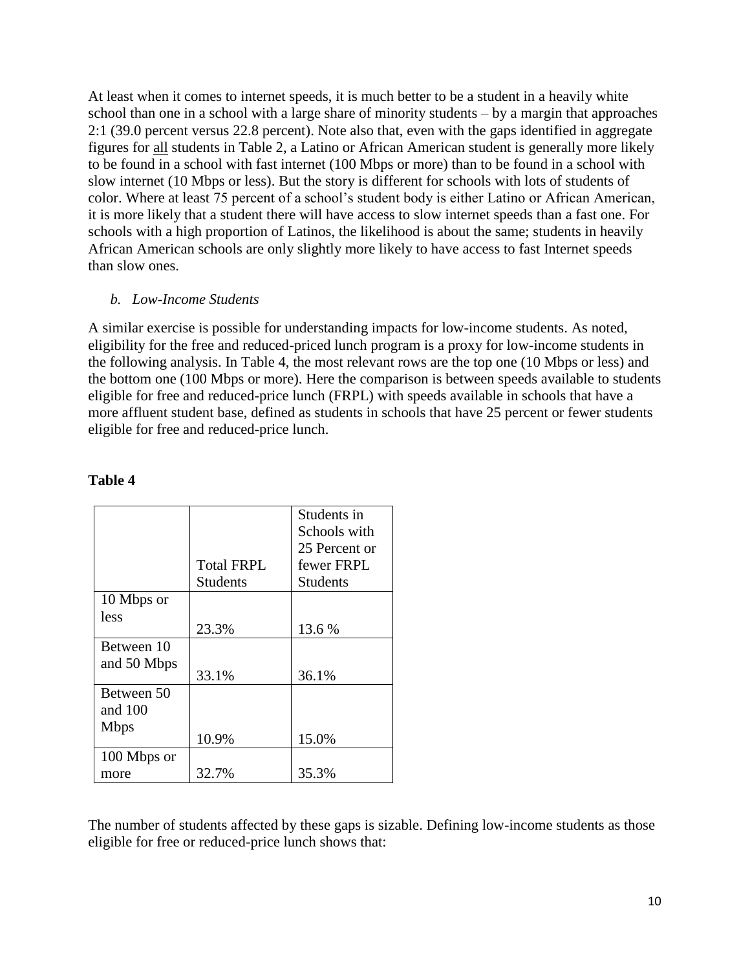At least when it comes to internet speeds, it is much better to be a student in a heavily white school than one in a school with a large share of minority students – by a margin that approaches 2:1 (39.0 percent versus 22.8 percent). Note also that, even with the gaps identified in aggregate figures for all students in Table 2, a Latino or African American student is generally more likely to be found in a school with fast internet (100 Mbps or more) than to be found in a school with slow internet (10 Mbps or less). But the story is different for schools with lots of students of color. Where at least 75 percent of a school's student body is either Latino or African American, it is more likely that a student there will have access to slow internet speeds than a fast one. For schools with a high proportion of Latinos, the likelihood is about the same; students in heavily African American schools are only slightly more likely to have access to fast Internet speeds than slow ones.

#### *b. Low-Income Students*

A similar exercise is possible for understanding impacts for low-income students. As noted, eligibility for the free and reduced-priced lunch program is a proxy for low-income students in the following analysis. In Table 4, the most relevant rows are the top one (10 Mbps or less) and the bottom one (100 Mbps or more). Here the comparison is between speeds available to students eligible for free and reduced-price lunch (FRPL) with speeds available in schools that have a more affluent student base, defined as students in schools that have 25 percent or fewer students eligible for free and reduced-price lunch.

|             |                   | Students in     |
|-------------|-------------------|-----------------|
|             |                   | Schools with    |
|             |                   | 25 Percent or   |
|             | <b>Total FRPL</b> | fewer FRPL      |
|             | <b>Students</b>   | <b>Students</b> |
| 10 Mbps or  |                   |                 |
| less        |                   |                 |
|             | 23.3%             | 13.6 %          |
| Between 10  |                   |                 |
| and 50 Mbps |                   |                 |
|             | 33.1%             | 36.1%           |
| Between 50  |                   |                 |
| and $100$   |                   |                 |
| <b>Mbps</b> |                   |                 |
|             | 10.9%             | 15.0%           |
| 100 Mbps or |                   |                 |
| more        | 32.7%             | 35.3%           |

#### **Table 4**

The number of students affected by these gaps is sizable. Defining low-income students as those eligible for free or reduced-price lunch shows that: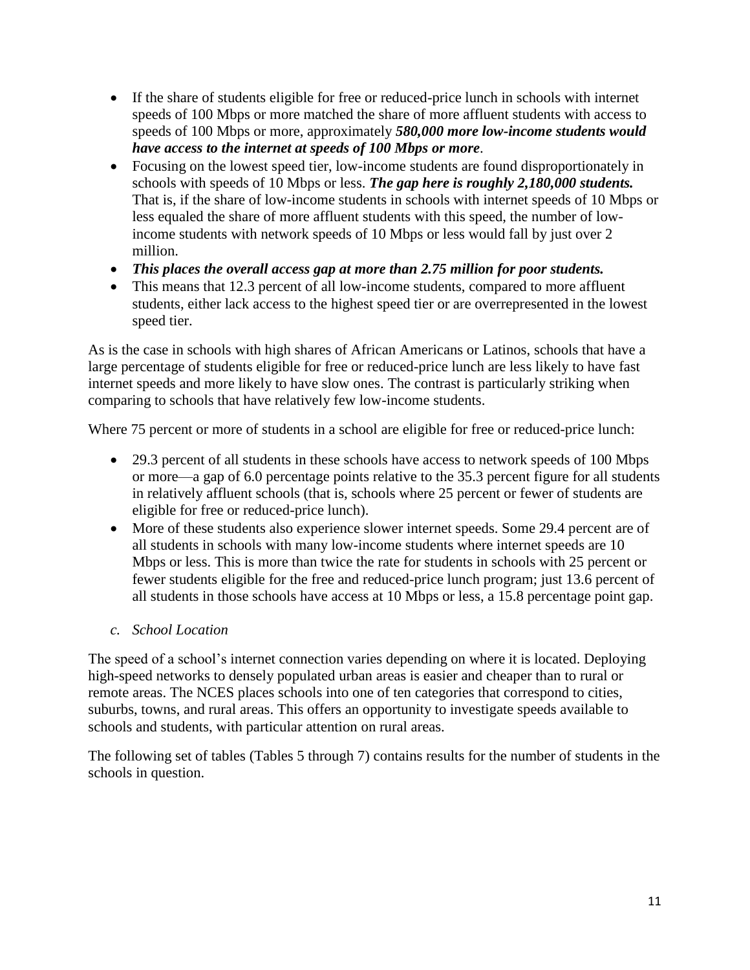- If the share of students eligible for free or reduced-price lunch in schools with internet speeds of 100 Mbps or more matched the share of more affluent students with access to speeds of 100 Mbps or more, approximately *580,000 more low-income students would have access to the internet at speeds of 100 Mbps or more*.
- Focusing on the lowest speed tier, low-income students are found disproportionately in schools with speeds of 10 Mbps or less. *The gap here is roughly 2,180,000 students.* That is, if the share of low-income students in schools with internet speeds of 10 Mbps or less equaled the share of more affluent students with this speed, the number of lowincome students with network speeds of 10 Mbps or less would fall by just over 2 million.
- *This places the overall access gap at more than 2.75 million for poor students.*
- This means that 12.3 percent of all low-income students, compared to more affluent students, either lack access to the highest speed tier or are overrepresented in the lowest speed tier.

As is the case in schools with high shares of African Americans or Latinos, schools that have a large percentage of students eligible for free or reduced-price lunch are less likely to have fast internet speeds and more likely to have slow ones. The contrast is particularly striking when comparing to schools that have relatively few low-income students.

Where 75 percent or more of students in a school are eligible for free or reduced-price lunch:

- 29.3 percent of all students in these schools have access to network speeds of 100 Mbps or more—a gap of 6.0 percentage points relative to the 35.3 percent figure for all students in relatively affluent schools (that is, schools where 25 percent or fewer of students are eligible for free or reduced-price lunch).
- More of these students also experience slower internet speeds. Some 29.4 percent are of all students in schools with many low-income students where internet speeds are 10 Mbps or less. This is more than twice the rate for students in schools with 25 percent or fewer students eligible for the free and reduced-price lunch program; just 13.6 percent of all students in those schools have access at 10 Mbps or less, a 15.8 percentage point gap.
- *c. School Location*

The speed of a school's internet connection varies depending on where it is located. Deploying high-speed networks to densely populated urban areas is easier and cheaper than to rural or remote areas. The NCES places schools into one of ten categories that correspond to cities, suburbs, towns, and rural areas. This offers an opportunity to investigate speeds available to schools and students, with particular attention on rural areas.

The following set of tables (Tables 5 through 7) contains results for the number of students in the schools in question.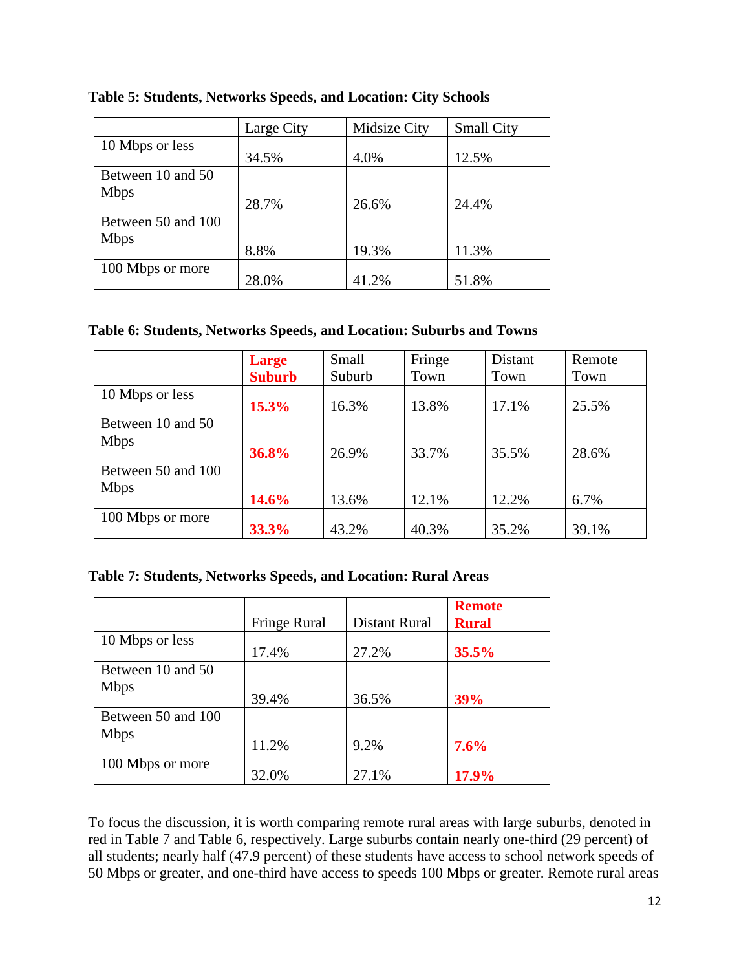|                    | Large City | Midsize City | <b>Small City</b> |
|--------------------|------------|--------------|-------------------|
| 10 Mbps or less    |            |              |                   |
|                    | 34.5%      | 4.0%         | 12.5%             |
| Between 10 and 50  |            |              |                   |
| <b>Mbps</b>        |            |              |                   |
|                    | 28.7%      | 26.6%        | 24.4%             |
| Between 50 and 100 |            |              |                   |
| <b>Mbps</b>        |            |              |                   |
|                    | 8.8%       | 19.3%        | 11.3%             |
| 100 Mbps or more   |            |              |                   |
|                    | 28.0%      | 41.2%        | 51.8%             |

### **Table 5: Students, Networks Speeds, and Location: City Schools**

### **Table 6: Students, Networks Speeds, and Location: Suburbs and Towns**

|                    | <b>Large</b>  | Small  | Fringe | Distant | Remote |
|--------------------|---------------|--------|--------|---------|--------|
|                    | <b>Suburb</b> | Suburb | Town   | Town    | Town   |
| 10 Mbps or less    | 15.3%         | 16.3%  | 13.8%  | 17.1%   | 25.5%  |
| Between 10 and 50  |               |        |        |         |        |
| <b>Mbps</b>        | 36.8%         | 26.9%  | 33.7%  | 35.5%   | 28.6%  |
| Between 50 and 100 |               |        |        |         |        |
| <b>Mbps</b>        | 14.6%         | 13.6%  | 12.1%  | 12.2%   | 6.7%   |
| 100 Mbps or more   | 33.3%         | 43.2%  | 40.3%  | 35.2%   | 39.1%  |

# **Table 7: Students, Networks Speeds, and Location: Rural Areas**

|                    |              |               | <b>Remote</b> |
|--------------------|--------------|---------------|---------------|
|                    | Fringe Rural | Distant Rural | <b>Rural</b>  |
| 10 Mbps or less    |              |               |               |
|                    | 17.4%        | 27.2%         | 35.5%         |
| Between 10 and 50  |              |               |               |
| <b>Mbps</b>        |              |               |               |
|                    | 39.4%        | 36.5%         | 39%           |
| Between 50 and 100 |              |               |               |
| <b>Mbps</b>        |              |               |               |
|                    | 11.2%        | 9.2%          | 7.6%          |
| 100 Mbps or more   |              |               |               |
|                    | 32.0%        | 27.1%         | 17.9%         |

To focus the discussion, it is worth comparing remote rural areas with large suburbs, denoted in red in Table 7 and Table 6, respectively. Large suburbs contain nearly one-third (29 percent) of all students; nearly half (47.9 percent) of these students have access to school network speeds of 50 Mbps or greater, and one-third have access to speeds 100 Mbps or greater. Remote rural areas